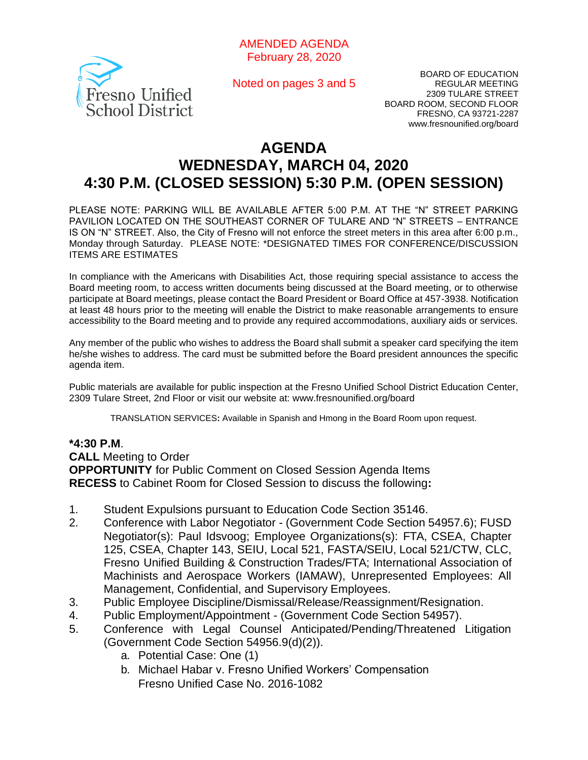

Noted on pages 3 and 5

BOARD OF EDUCATION REGULAR MEETING 2309 TULARE STREET BOARD ROOM, SECOND FLOOR FRESNO, CA 93721-2287 www.fresnounified.org/board

# **AGENDA WEDNESDAY, MARCH 04, 2020 4:30 P.M. (CLOSED SESSION) 5:30 P.M. (OPEN SESSION)**

PLEASE NOTE: PARKING WILL BE AVAILABLE AFTER 5:00 P.M. AT THE "N" STREET PARKING PAVILION LOCATED ON THE SOUTHEAST CORNER OF TULARE AND "N" STREETS – ENTRANCE IS ON "N" STREET. Also, the City of Fresno will not enforce the street meters in this area after 6:00 p.m., Monday through Saturday. PLEASE NOTE: \*DESIGNATED TIMES FOR CONFERENCE/DISCUSSION ITEMS ARE ESTIMATES

In compliance with the Americans with Disabilities Act, those requiring special assistance to access the Board meeting room, to access written documents being discussed at the Board meeting, or to otherwise participate at Board meetings, please contact the Board President or Board Office at 457-3938. Notification at least 48 hours prior to the meeting will enable the District to make reasonable arrangements to ensure accessibility to the Board meeting and to provide any required accommodations, auxiliary aids or services.

Any member of the public who wishes to address the Board shall submit a speaker card specifying the item he/she wishes to address. The card must be submitted before the Board president announces the specific agenda item.

Public materials are available for public inspection at the Fresno Unified School District Education Center, 2309 Tulare Street, 2nd Floor or visit our website at: www.fresnounified.org/board

TRANSLATION SERVICES**:** Available in Spanish and Hmong in the Board Room upon request.

### **\*4:30 P.M**.

**CALL** Meeting to Order

**OPPORTUNITY** for Public Comment on Closed Session Agenda Items **RECESS** to Cabinet Room for Closed Session to discuss the following**:**

- 1. Student Expulsions pursuant to Education Code Section 35146.
- 2. Conference with Labor Negotiator (Government Code Section 54957.6); FUSD Negotiator(s): Paul Idsvoog; Employee Organizations(s): FTA, CSEA, Chapter 125, CSEA, Chapter 143, SEIU, Local 521, FASTA/SEIU, Local 521/CTW, CLC, Fresno Unified Building & Construction Trades/FTA; International Association of Machinists and Aerospace Workers (IAMAW), Unrepresented Employees: All Management, Confidential, and Supervisory Employees.
- 3. Public Employee Discipline/Dismissal/Release/Reassignment/Resignation.
- 4. Public Employment/Appointment (Government Code Section 54957).
- 5. Conference with Legal Counsel Anticipated/Pending/Threatened Litigation (Government Code Section 54956.9(d)(2)).
	- a. Potential Case: One (1)
	- b. Michael Habar v. Fresno Unified Workers' Compensation Fresno Unified Case No. 2016-1082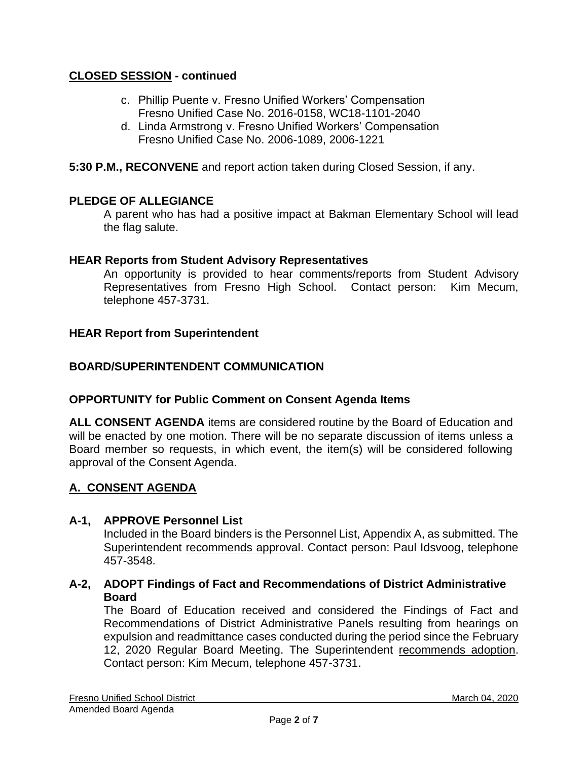# **CLOSED SESSION - continued**

- c. Phillip Puente v. Fresno Unified Workers' Compensation Fresno Unified Case No. 2016-0158, WC18-1101-2040
- d. Linda Armstrong v. Fresno Unified Workers' Compensation Fresno Unified Case No. 2006-1089, 2006-1221
- **5:30 P.M., RECONVENE** and report action taken during Closed Session, if any.

# **PLEDGE OF ALLEGIANCE**

A parent who has had a positive impact at Bakman Elementary School will lead the flag salute.

#### **HEAR Reports from Student Advisory Representatives**

An opportunity is provided to hear comments/reports from Student Advisory Representatives from Fresno High School. Contact person: Kim Mecum, telephone 457-3731.

#### **HEAR Report from Superintendent**

### **BOARD/SUPERINTENDENT COMMUNICATION**

### **OPPORTUNITY for Public Comment on Consent Agenda Items**

**ALL CONSENT AGENDA** items are considered routine by the Board of Education and will be enacted by one motion. There will be no separate discussion of items unless a Board member so requests, in which event, the item(s) will be considered following approval of the Consent Agenda.

### **A. CONSENT AGENDA**

### **A-1, APPROVE Personnel List**

Included in the Board binders is the Personnel List, Appendix A, as submitted. The Superintendent recommends approval. Contact person: Paul Idsvoog, telephone 457-3548.

**A-2, ADOPT Findings of Fact and Recommendations of District Administrative Board**

The Board of Education received and considered the Findings of Fact and Recommendations of District Administrative Panels resulting from hearings on expulsion and readmittance cases conducted during the period since the February 12, 2020 Regular Board Meeting. The Superintendent recommends adoption. Contact person: Kim Mecum, telephone 457-3731.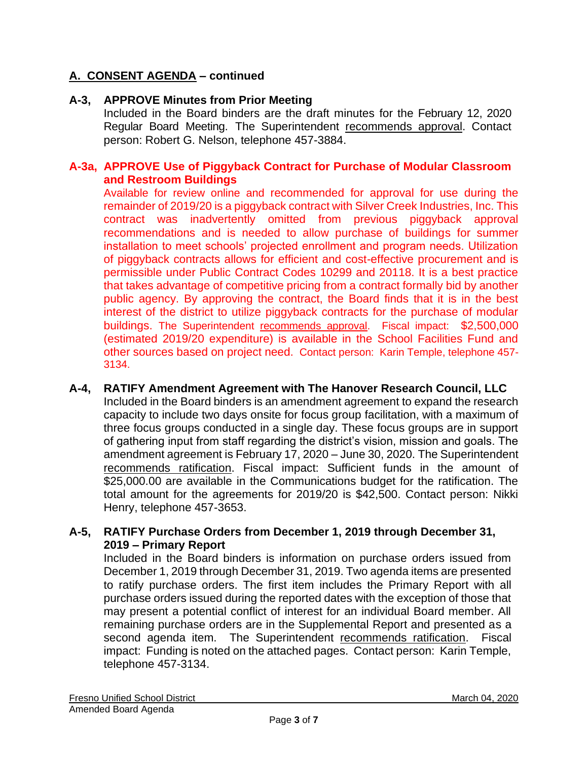# **A. CONSENT AGENDA – continued**

# **A-3, APPROVE Minutes from Prior Meeting**

Included in the Board binders are the draft minutes for the February 12, 2020 Regular Board Meeting. The Superintendent recommends approval. Contact person: Robert G. Nelson, telephone 457-3884.

### **A-3a, APPROVE Use of Piggyback Contract for Purchase of Modular Classroom and Restroom Buildings**

Available for review online and recommended for approval for use during the remainder of 2019/20 is a piggyback contract with Silver Creek Industries, Inc. This contract was inadvertently omitted from previous piggyback approval recommendations and is needed to allow purchase of buildings for summer installation to meet schools' projected enrollment and program needs. Utilization of piggyback contracts allows for efficient and cost-effective procurement and is permissible under Public Contract Codes 10299 and 20118. It is a best practice that takes advantage of competitive pricing from a contract formally bid by another public agency. By approving the contract, the Board finds that it is in the best interest of the district to utilize piggyback contracts for the purchase of modular buildings. The Superintendent recommends approval. Fiscal impact: \$2,500,000 (estimated 2019/20 expenditure) is available in the School Facilities Fund and other sources based on project need. Contact person: Karin Temple, telephone 457- 3134.

### **A-4, RATIFY Amendment Agreement with The Hanover Research Council, LLC** Included in the Board binders is an amendment agreement to expand the research capacity to include two days onsite for focus group facilitation, with a maximum of three focus groups conducted in a single day. These focus groups are in support of gathering input from staff regarding the district's vision, mission and goals. The amendment agreement is February 17, 2020 – June 30, 2020. The Superintendent recommends ratification. Fiscal impact: Sufficient funds in the amount of \$25,000.00 are available in the Communications budget for the ratification. The total amount for the agreements for 2019/20 is \$42,500. Contact person: Nikki Henry, telephone 457-3653.

# **A-5, RATIFY Purchase Orders from December 1, 2019 through December 31, 2019 – Primary Report**

Included in the Board binders is information on purchase orders issued from December 1, 2019 through December 31, 2019. Two agenda items are presented to ratify purchase orders. The first item includes the Primary Report with all purchase orders issued during the reported dates with the exception of those that may present a potential conflict of interest for an individual Board member. All remaining purchase orders are in the Supplemental Report and presented as a second agenda item. The Superintendent recommends ratification. Fiscal impact: Funding is noted on the attached pages. Contact person: Karin Temple, telephone 457-3134.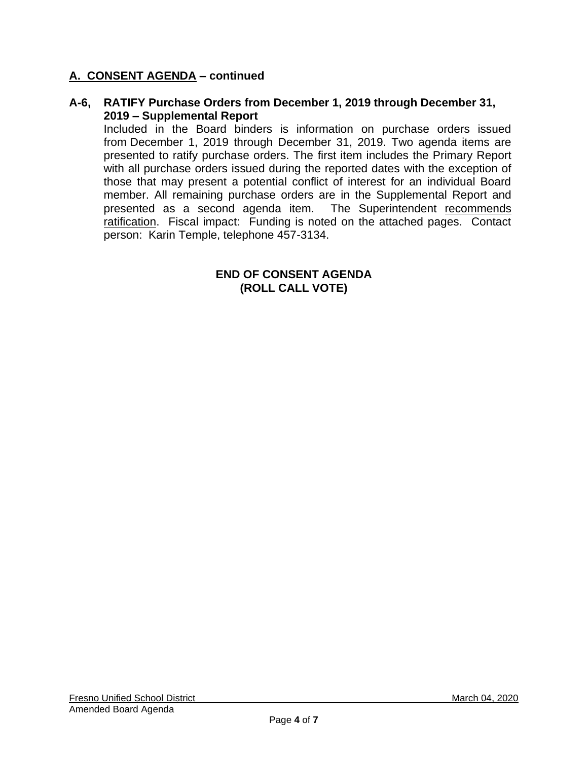# **A. CONSENT AGENDA – continued**

### **A-6, RATIFY Purchase Orders from December 1, 2019 through December 31, 2019 – Supplemental Report**

Included in the Board binders is information on purchase orders issued from December 1, 2019 through December 31, 2019. Two agenda items are presented to ratify purchase orders. The first item includes the Primary Report with all purchase orders issued during the reported dates with the exception of those that may present a potential conflict of interest for an individual Board member. All remaining purchase orders are in the Supplemental Report and presented as a second agenda item. The Superintendent recommends ratification. Fiscal impact: Funding is noted on the attached pages. Contact person: Karin Temple, telephone 457-3134.

#### **END OF CONSENT AGENDA (ROLL CALL VOTE)**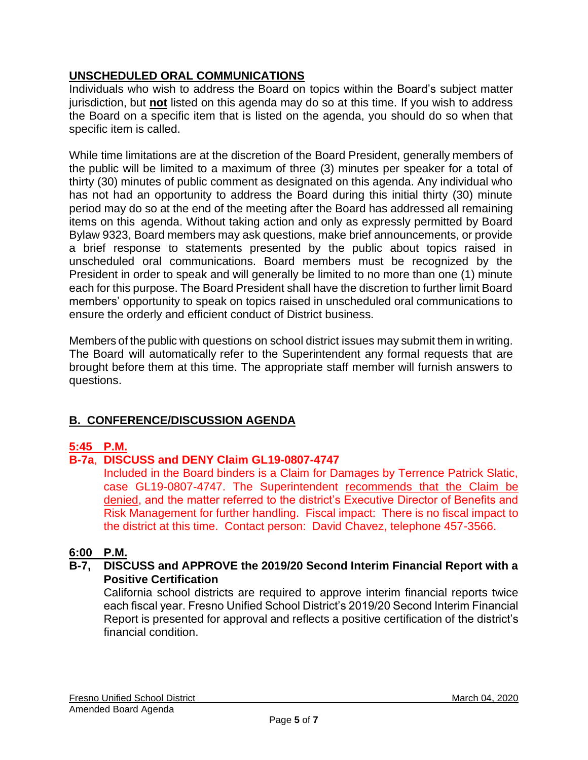# **UNSCHEDULED ORAL COMMUNICATIONS**

Individuals who wish to address the Board on topics within the Board's subject matter jurisdiction, but **not** listed on this agenda may do so at this time. If you wish to address the Board on a specific item that is listed on the agenda, you should do so when that specific item is called.

While time limitations are at the discretion of the Board President, generally members of the public will be limited to a maximum of three (3) minutes per speaker for a total of thirty (30) minutes of public comment as designated on this agenda. Any individual who has not had an opportunity to address the Board during this initial thirty (30) minute period may do so at the end of the meeting after the Board has addressed all remaining items on this agenda. Without taking action and only as expressly permitted by Board Bylaw 9323, Board members may ask questions, make brief announcements, or provide a brief response to statements presented by the public about topics raised in unscheduled oral communications. Board members must be recognized by the President in order to speak and will generally be limited to no more than one (1) minute each for this purpose. The Board President shall have the discretion to further limit Board members' opportunity to speak on topics raised in unscheduled oral communications to ensure the orderly and efficient conduct of District business.

Members of the public with questions on school district issues may submit them in writing. The Board will automatically refer to the Superintendent any formal requests that are brought before them at this time. The appropriate staff member will furnish answers to questions.

# **B. CONFERENCE/DISCUSSION AGENDA**

# **5:45 P.M.**

# **B-7a**, **DISCUSS and DENY Claim GL19-0807-4747**

Included in the Board binders is a Claim for Damages by Terrence Patrick Slatic, case GL19-0807-4747. The Superintendent recommends that the Claim be denied, and the matter referred to the district's Executive Director of Benefits and Risk Management for further handling. Fiscal impact: There is no fiscal impact to the district at this time. Contact person: David Chavez, telephone 457-3566.

# **6:00 P.M.**

### **B-7, DISCUSS and APPROVE the 2019/20 Second Interim Financial Report with a Positive Certification**

California school districts are required to approve interim financial reports twice each fiscal year. Fresno Unified School District's 2019/20 Second Interim Financial Report is presented for approval and reflects a positive certification of the district's financial condition.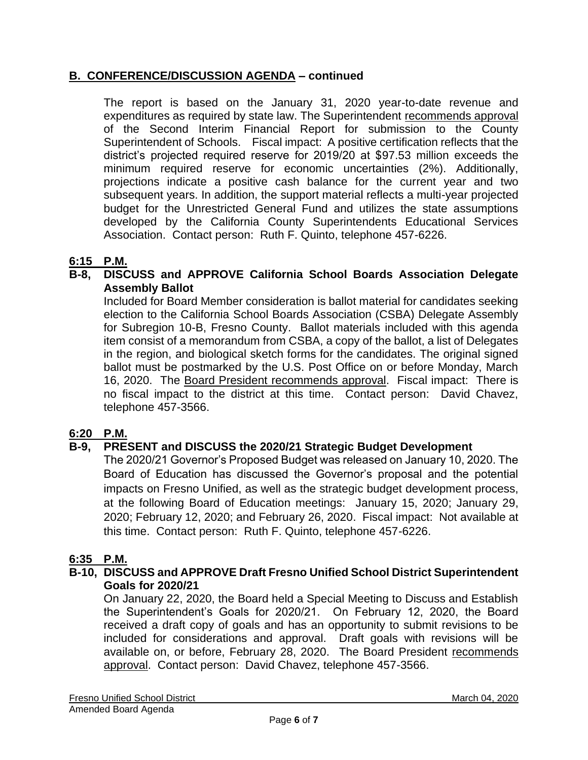# **B. CONFERENCE/DISCUSSION AGENDA – continued**

The report is based on the January 31, 2020 year-to-date revenue and expenditures as required by state law. The Superintendent recommends approval of the Second Interim Financial Report for submission to the County Superintendent of Schools. Fiscal impact: A positive certification reflects that the district's projected required reserve for 2019/20 at \$97.53 million exceeds the minimum required reserve for economic uncertainties (2%). Additionally, projections indicate a positive cash balance for the current year and two subsequent years. In addition, the support material reflects a multi-year projected budget for the Unrestricted General Fund and utilizes the state assumptions developed by the California County Superintendents Educational Services Association. Contact person: Ruth F. Quinto, telephone 457-6226.

# **6:15 P.M.**

# **B-8, DISCUSS and APPROVE California School Boards Association Delegate Assembly Ballot**

Included for Board Member consideration is ballot material for candidates seeking election to the California School Boards Association (CSBA) Delegate Assembly for Subregion 10-B, Fresno County. Ballot materials included with this agenda item consist of a memorandum from CSBA, a copy of the ballot, a list of Delegates in the region, and biological sketch forms for the candidates. The original signed ballot must be postmarked by the U.S. Post Office on or before Monday, March 16, 2020. The Board President recommends approval. Fiscal impact: There is no fiscal impact to the district at this time. Contact person: David Chavez, telephone 457-3566.

# **6:20 P.M.**

# **B-9, PRESENT and DISCUSS the 2020/21 Strategic Budget Development**

The 2020/21 Governor's Proposed Budget was released on January 10, 2020. The Board of Education has discussed the Governor's proposal and the potential impacts on Fresno Unified, as well as the strategic budget development process, at the following Board of Education meetings: January 15, 2020; January 29, 2020; February 12, 2020; and February 26, 2020. Fiscal impact: Not available at this time. Contact person: Ruth F. Quinto, telephone 457-6226.

# **6:35 P.M.**

### **B-10, DISCUSS and APPROVE Draft Fresno Unified School District Superintendent Goals for 2020/21**

On January 22, 2020, the Board held a Special Meeting to Discuss and Establish the Superintendent's Goals for 2020/21. On February 12, 2020, the Board received a draft copy of goals and has an opportunity to submit revisions to be included for considerations and approval. Draft goals with revisions will be available on, or before, February 28, 2020. The Board President recommends approval. Contact person: David Chavez, telephone 457-3566.